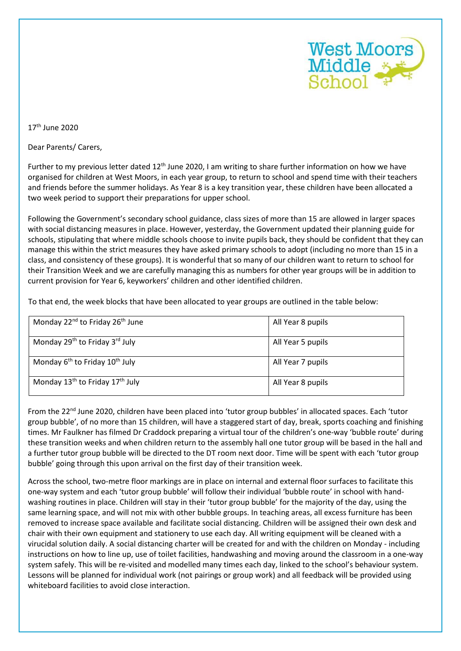

## 17 th June 2020

Dear Parents/ Carers,

Further to my previous letter dated 12<sup>th</sup> June 2020, I am writing to share further information on how we have organised for children at West Moors, in each year group, to return to school and spend time with their teachers and friends before the summer holidays. As Year 8 is a key transition year, these children have been allocated a two week period to support their preparations for upper school.

Following the Government's secondary school guidance, class sizes of more than 15 are allowed in larger spaces with social distancing measures in place. However, yesterday, the Government updated their planning guide for schools, stipulating that where middle schools choose to invite pupils back, they should be confident that they can manage this within the strict measures they have asked primary schools to adopt (including no more than 15 in a class, and consistency of these groups). It is wonderful that so many of our children want to return to school for their Transition Week and we are carefully managing this as numbers for other year groups will be in addition to current provision for Year 6, keyworkers' children and other identified children.

To that end, the week blocks that have been allocated to year groups are outlined in the table below:

| Monday 22 <sup>nd</sup> to Friday 26 <sup>th</sup> June | All Year 8 pupils |
|---------------------------------------------------------|-------------------|
| Monday 29 <sup>th</sup> to Friday 3 <sup>rd</sup> July  | All Year 5 pupils |
| Monday 6 <sup>th</sup> to Friday 10 <sup>th</sup> July  | All Year 7 pupils |
| Monday 13 <sup>th</sup> to Friday 17 <sup>th</sup> July | All Year 8 pupils |

From the 22<sup>nd</sup> June 2020, children have been placed into 'tutor group bubbles' in allocated spaces. Each 'tutor group bubble', of no more than 15 children, will have a staggered start of day, break, sports coaching and finishing times. Mr Faulkner has filmed Dr Craddock preparing a virtual tour of the children's one-way 'bubble route' during these transition weeks and when children return to the assembly hall one tutor group will be based in the hall and a further tutor group bubble will be directed to the DT room next door. Time will be spent with each 'tutor group bubble' going through this upon arrival on the first day of their transition week.

Across the school, two-metre floor markings are in place on internal and external floor surfaces to facilitate this one-way system and each 'tutor group bubble' will follow their individual 'bubble route' in school with handwashing routines in place. Children will stay in their 'tutor group bubble' for the majority of the day, using the same learning space, and will not mix with other bubble groups. In teaching areas, all excess furniture has been removed to increase space available and facilitate social distancing. Children will be assigned their own desk and chair with their own equipment and stationery to use each day. All writing equipment will be cleaned with a virucidal solution daily. A social distancing charter will be created for and with the children on Monday - including instructions on how to line up, use of toilet facilities, handwashing and moving around the classroom in a one-way system safely. This will be re-visited and modelled many times each day, linked to the school's behaviour system. Lessons will be planned for individual work (not pairings or group work) and all feedback will be provided using whiteboard facilities to avoid close interaction.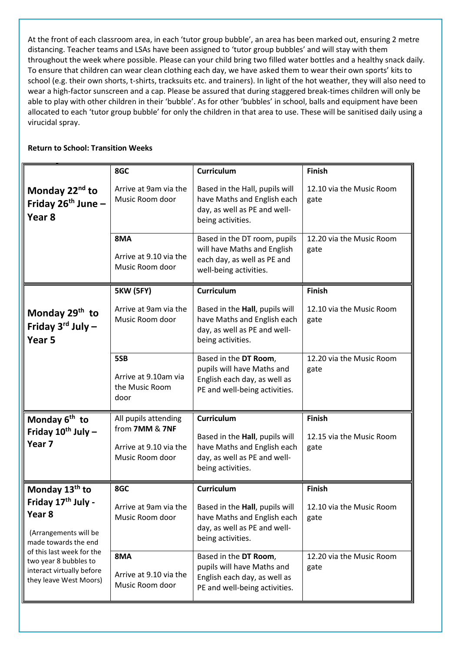At the front of each classroom area, in each 'tutor group bubble', an area has been marked out, ensuring 2 metre distancing. Teacher teams and LSAs have been assigned to 'tutor group bubbles' and will stay with them throughout the week where possible. Please can your child bring two filled water bottles and a healthy snack daily. To ensure that children can wear clean clothing each day, we have asked them to wear their own sports' kits to school (e.g. their own shorts, t-shirts, tracksuits etc. and trainers). In light of the hot weather, they will also need to wear a high-factor sunscreen and a cap. Please be assured that during staggered break-times children will only be able to play with other children in their 'bubble'. As for other 'bubbles' in school, balls and equipment have been allocated to each 'tutor group bubble' for only the children in that area to use. These will be sanitised daily using a virucidal spray.

## **Return to School: Transition Weeks**

|                                                                                                                        | 8GC                                                         | <b>Curriculum</b>                                                                                                    | <b>Finish</b>                    |
|------------------------------------------------------------------------------------------------------------------------|-------------------------------------------------------------|----------------------------------------------------------------------------------------------------------------------|----------------------------------|
| Monday 22 <sup>nd</sup> to<br>Friday $26^{th}$ June –<br>Year <sub>8</sub>                                             | Arrive at 9am via the<br>Music Room door                    | Based in the Hall, pupils will<br>have Maths and English each<br>day, as well as PE and well-<br>being activities.   | 12.10 via the Music Room<br>gate |
|                                                                                                                        | 8MA<br>Arrive at 9.10 via the<br>Music Room door            | Based in the DT room, pupils<br>will have Maths and English<br>each day, as well as PE and<br>well-being activities. | 12.20 via the Music Room<br>gate |
|                                                                                                                        | <b>5KW (5FY)</b>                                            | <b>Curriculum</b>                                                                                                    | Finish                           |
| Monday 29 <sup>th</sup> to<br>Friday $3^{rd}$ July -<br>Year <sub>5</sub>                                              | Arrive at 9am via the<br>Music Room door                    | Based in the Hall, pupils will<br>have Maths and English each<br>day, as well as PE and well-<br>being activities.   | 12.10 via the Music Room<br>gate |
|                                                                                                                        | 5SB<br>Arrive at 9.10am via<br>the Music Room<br>door       | Based in the DT Room,<br>pupils will have Maths and<br>English each day, as well as<br>PE and well-being activities. | 12.20 via the Music Room<br>gate |
| Monday 6 <sup>th</sup> to                                                                                              | All pupils attending                                        | <b>Curriculum</b>                                                                                                    | Finish                           |
| Friday $10^{th}$ July -<br>Year <sub>7</sub>                                                                           | from 7MM & 7NF<br>Arrive at 9.10 via the<br>Music Room door | Based in the Hall, pupils will<br>have Maths and English each<br>day, as well as PE and well-<br>being activities.   | 12.15 via the Music Room<br>gate |
| Monday 13 <sup>th</sup> to                                                                                             | 8GC                                                         | <b>Curriculum</b>                                                                                                    | <b>Finish</b>                    |
| Friday 17th July -<br>$\parallel$ Year 8<br>(Arrangements will be<br>made towards the end<br>of this last week for the | Arrive at 9am via the $\vert$<br>Music Room door            | Based in the Hall, pupils will<br>have Maths and English each<br>day, as well as PE and well-<br>being activities.   | 12.10 via the Music Room<br>gate |
| two year 8 bubbles to<br>interact virtually before<br>they leave West Moors)                                           | 8MA<br>Arrive at 9.10 via the<br>Music Room door            | Based in the DT Room,<br>pupils will have Maths and<br>English each day, as well as<br>PE and well-being activities. | 12.20 via the Music Room<br>gate |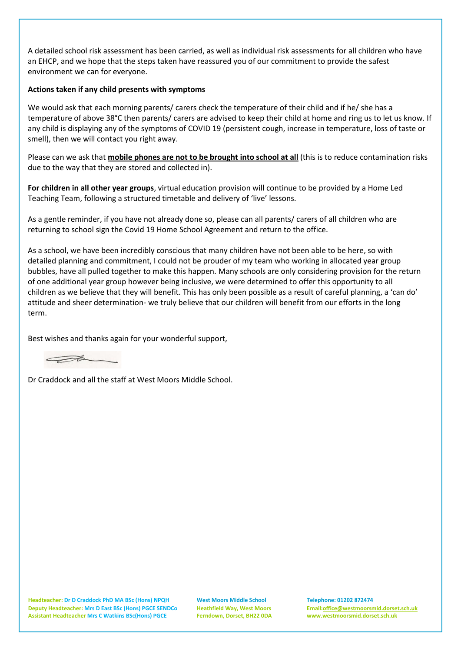A detailed school risk assessment has been carried, as well as individual risk assessments for all children who have an EHCP, and we hope that the steps taken have reassured you of our commitment to provide the safest environment we can for everyone.

## **Actions taken if any child presents with symptoms**

We would ask that each morning parents/ carers check the temperature of their child and if he/ she has a temperature of above 38°C then parents/ carers are advised to keep their child at home and ring us to let us know. If any child is displaying any of the symptoms of COVID 19 (persistent cough, increase in temperature, loss of taste or smell), then we will contact you right away.

Please can we ask that **mobile phones are not to be brought into school at all** (this is to reduce contamination risks due to the way that they are stored and collected in).

**For children in all other year groups**, virtual education provision will continue to be provided by a Home Led Teaching Team, following a structured timetable and delivery of 'live' lessons.

As a gentle reminder, if you have not already done so, please can all parents/ carers of all children who are returning to school sign the Covid 19 Home School Agreement and return to the office.

As a school, we have been incredibly conscious that many children have not been able to be here, so with detailed planning and commitment, I could not be prouder of my team who working in allocated year group bubbles, have all pulled together to make this happen. Many schools are only considering provision for the return of one additional year group however being inclusive, we were determined to offer this opportunity to all children as we believe that they will benefit. This has only been possible as a result of careful planning, a 'can do' attitude and sheer determination- we truly believe that our children will benefit from our efforts in the long term.

Best wishes and thanks again for your wonderful support,

FA

Dr Craddock and all the staff at West Moors Middle School.

**Headteacher: Dr D Craddock PhD MA BSc (Hons) NPQH West Moors Middle School Telephone: 01202 872474 Deputy Headteacher: Mrs D East BSc (Hons) PGCE SENDCo Heathfield Way, West Moors Ema[il:office@westmoorsmid.dorset.sch.uk](mailto:office@westmoorsmid.dorset.sch.uk) Assistant Headteacher Mrs C Watkins BSc(Hons) PGCE Ferndown, Dorset, BH22 0DA [www.westmoorsmid.dorset.sch.uk](http://www.westmoorsmid.dorset.sch.uk/)**